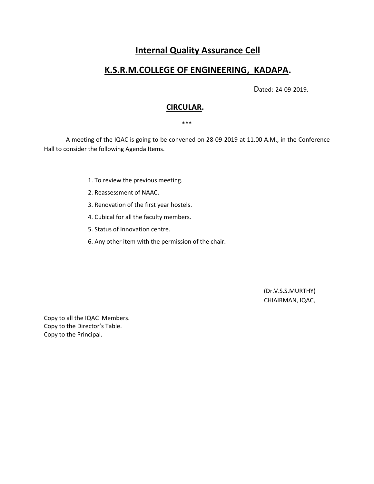# **Internal Quality Assurance Cell**

# **K.S.R.M.COLLEGE OF ENGINEERING, KADAPA.**

Dated:-24-09-2019.

## **CIRCULAR.**

\*\*\*

 A meeting of the IQAC is going to be convened on 28-09-2019 at 11.00 A.M., in the Conference Hall to consider the following Agenda Items.

- 1. To review the previous meeting.
- 2. Reassessment of NAAC.
- 3. Renovation of the first year hostels.
- 4. Cubical for all the faculty members.
- 5. Status of Innovation centre.
- 6. Any other item with the permission of the chair.

(Dr.V.S.S.MURTHY) CHIAIRMAN, IQAC,

Copy to all the IQAC Members. Copy to the Director's Table. Copy to the Principal.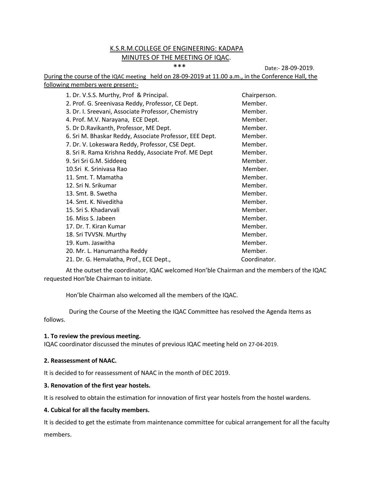### K.S.R.M.COLLEGE OF ENGINEERING: KADAPA MINUTES OF THE MEETING OF IQAC.

\*\*\* Date:- 28-09-2019.

During the course of the IQAC meeting held on 28-09-2019 at 11.00 a.m., in the Conference Hall, the following members were present:-

| 1. Dr. V.S.S. Murthy, Prof & Principal.                 | Chairperson. |
|---------------------------------------------------------|--------------|
| 2. Prof. G. Sreenivasa Reddy, Professor, CE Dept.       | Member.      |
| 3. Dr. I. Sreevani, Associate Professor, Chemistry      | Member.      |
| 4. Prof. M.V. Narayana, ECE Dept.                       | Member.      |
| 5. Dr D.Ravikanth, Professor, ME Dept.                  | Member.      |
| 6. Sri M. Bhaskar Reddy, Associate Professor, EEE Dept. | Member.      |
| 7. Dr. V. Lokeswara Reddy, Professor, CSE Dept.         | Member.      |
| 8. Sri R. Rama Krishna Reddy, Associate Prof. ME Dept   | Member.      |
| 9. Sri Sri G.M. Siddeeq                                 | Member.      |
| 10.Sri K. Sriniyasa Rao                                 | Member.      |
| 11. Smt. T. Mamatha                                     | Member.      |
| 12. Sri N. Srikumar                                     | Member.      |
| 13. Smt. B. Swetha                                      | Member.      |
| 14. Smt. K. Niveditha                                   | Member.      |
| 15. Sri S. Khadarvali                                   | Member.      |
| 16. Miss S. Jabeen                                      | Member.      |
| 17. Dr. T. Kiran Kumar                                  | Member.      |
| 18. Sri TVVSN. Murthy                                   | Member.      |
| 19. Kum. Jaswitha                                       | Member.      |
| 20. Mr. L. Hanumantha Reddy                             | Member.      |
| 21. Dr. G. Hemalatha, Prof., ECE Dept.,                 | Coordinator. |

At the outset the coordinator, IQAC welcomed Hon'ble Chairman and the members of the IQAC requested Hon'ble Chairman to initiate.

Hon'ble Chairman also welcomed all the members of the IQAC.

 During the Course of the Meeting the IQAC Committee has resolved the Agenda Items as follows.

#### **1. To review the previous meeting.**

IQAC coordinator discussed the minutes of previous IQAC meeting held on 27-04-2019.

#### **2. Reassessment of NAAC.**

It is decided to for reassessment of NAAC in the month of DEC 2019.

#### **3. Renovation of the first year hostels.**

It is resolved to obtain the estimation for innovation of first year hostels from the hostel wardens.

#### **4. Cubical for all the faculty members.**

It is decided to get the estimate from maintenance committee for cubical arrangement for all the faculty members.